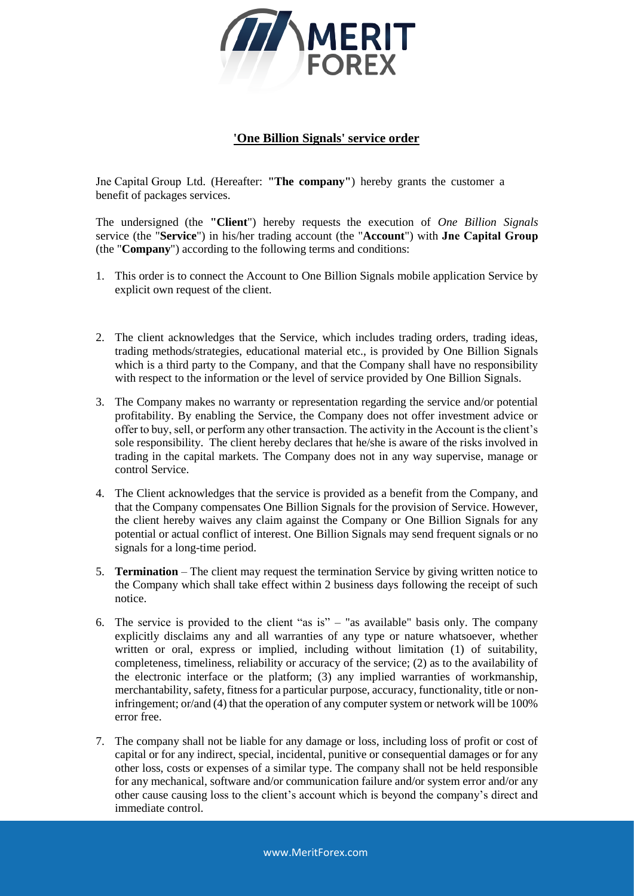

## **'One Billion Signals' service order**

Jne Capital Group Ltd. (Hereafter: **"The company"**) hereby grants the customer a benefit of packages services.

The undersigned (the **"Client**") hereby requests the execution of *One Billion Signals* service (the "**Service**") in his/her trading account (the "**Account**") with **Jne Capital Group** (the "**Company**") according to the following terms and conditions:

- 1. This order is to connect the Account to One Billion Signals mobile application Service by explicit own request of the client.
- 2. The client acknowledges that the Service, which includes trading orders, trading ideas, trading methods/strategies, educational material etc., is provided by One Billion Signals which is a third party to the Company, and that the Company shall have no responsibility with respect to the information or the level of service provided by One Billion Signals.
- 3. The Company makes no warranty or representation regarding the service and/or potential profitability. By enabling the Service, the Company does not offer investment advice or offer to buy, sell, or perform any other transaction. The activity in the Account is the client's sole responsibility. The client hereby declares that he/she is aware of the risks involved in trading in the capital markets. The Company does not in any way supervise, manage or control Service.
- 4. The Client acknowledges that the service is provided as a benefit from the Company, and that the Company compensates One Billion Signals for the provision of Service. However, the client hereby waives any claim against the Company or One Billion Signals for any potential or actual conflict of interest. One Billion Signals may send frequent signals or no signals for a long-time period.
- 5. **Termination** The client may request the termination Service by giving written notice to the Company which shall take effect within 2 business days following the receipt of such notice.
- 6. The service is provided to the client "as is" "as available" basis only. The company explicitly disclaims any and all warranties of any type or nature whatsoever, whether written or oral, express or implied, including without limitation (1) of suitability, completeness, timeliness, reliability or accuracy of the service; (2) as to the availability of the electronic interface or the platform; (3) any implied warranties of workmanship, merchantability, safety, fitness for a particular purpose, accuracy, functionality, title or noninfringement; or/and (4) that the operation of any computer system or network will be 100% error free.
- 7. The company shall not be liable for any damage or loss, including loss of profit or cost of capital or for any indirect, special, incidental, punitive or consequential damages or for any other loss, costs or expenses of a similar type. The company shall not be held responsible for any mechanical, software and/or communication failure and/or system error and/or any other cause causing loss to the client's account which is beyond the company's direct and immediate control.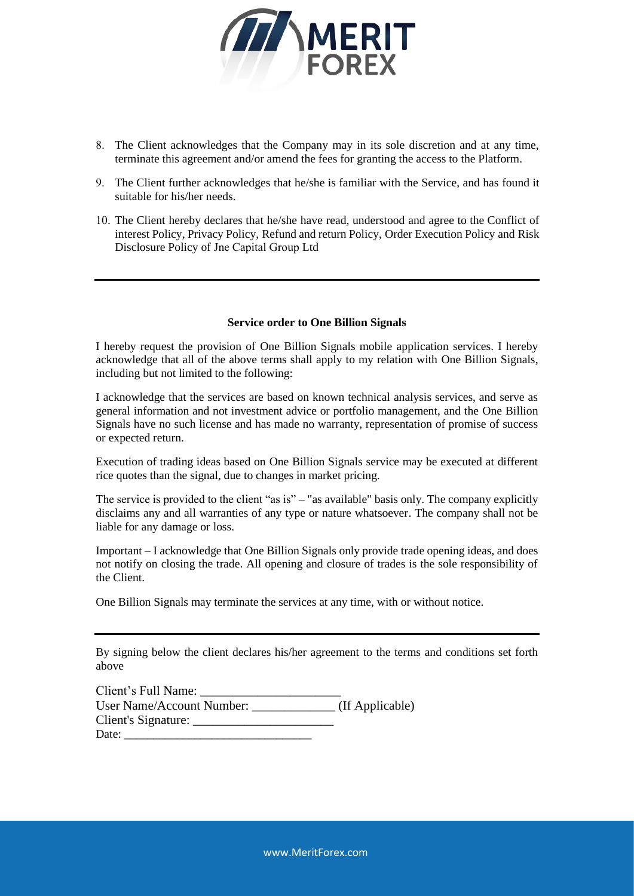

- 8. The Client acknowledges that the Company may in its sole discretion and at any time, terminate this agreement and/or amend the fees for granting the access to the Platform.
- 9. The Client further acknowledges that he/she is familiar with the Service, and has found it suitable for his/her needs.
- 10. The Client hereby declares that he/she have read, understood and agree to the Conflict of interest Policy, Privacy Policy, Refund and return Policy, Order Execution Policy and Risk Disclosure Policy of Jne Capital Group Ltd

## **Service order to One Billion Signals**

I hereby request the provision of One Billion Signals mobile application services. I hereby acknowledge that all of the above terms shall apply to my relation with One Billion Signals, including but not limited to the following:

I acknowledge that the services are based on known technical analysis services, and serve as general information and not investment advice or portfolio management, and the One Billion Signals have no such license and has made no warranty, representation of promise of success or expected return.

Execution of trading ideas based on One Billion Signals service may be executed at different rice quotes than the signal, due to changes in market pricing.

The service is provided to the client "as is" – "as available" basis only. The company explicitly disclaims any and all warranties of any type or nature whatsoever. The company shall not be liable for any damage or loss.

Important – I acknowledge that One Billion Signals only provide trade opening ideas, and does not notify on closing the trade. All opening and closure of trades is the sole responsibility of the Client.

One Billion Signals may terminate the services at any time, with or without notice.

By signing below the client declares his/her agreement to the terms and conditions set forth above

| Client's Full Name:           |                 |
|-------------------------------|-----------------|
| User Name/Account Number:     | (If Applicable) |
| Client's Signature: _________ |                 |
| Date:                         |                 |